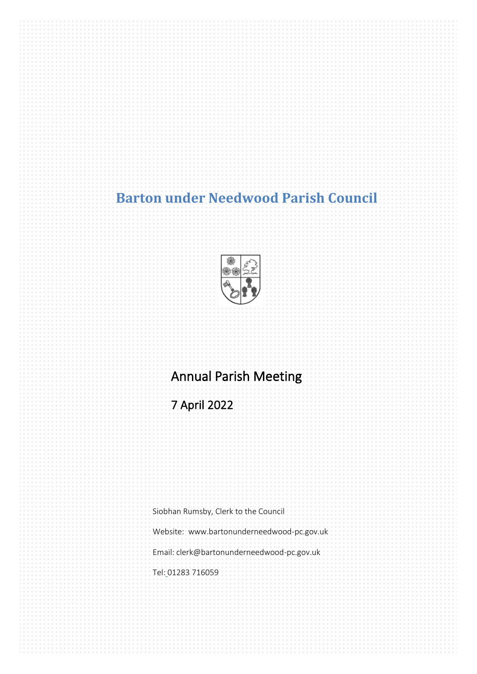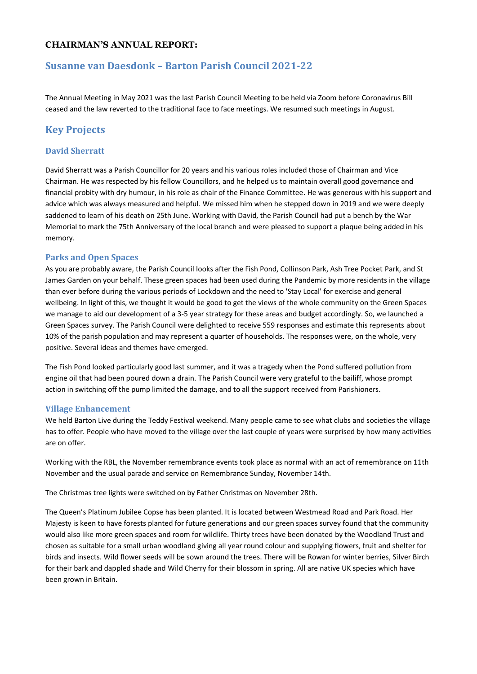#### **CHAIRMAN'S ANNUAL REPORT:**

# **Susanne van Daesdonk – Barton Parish Council 2021-22**

The Annual Meeting in May 2021 was the last Parish Council Meeting to be held via Zoom before Coronavirus Bill ceased and the law reverted to the traditional face to face meetings. We resumed such meetings in August.

# **Key Projects**

#### **David Sherratt**

David Sherratt was a Parish Councillor for 20 years and his various roles included those of Chairman and Vice Chairman. He was respected by his fellow Councillors, and he helped us to maintain overall good governance and financial probity with dry humour, in his role as chair of the Finance Committee. He was generous with his support and advice which was always measured and helpful. We missed him when he stepped down in 2019 and we were deeply saddened to learn of his death on 25th June. Working with David, the Parish Council had put a bench by the War Memorial to mark the 75th Anniversary of the local branch and were pleased to support a plaque being added in his memory.

#### **Parks and Open Spaces**

As you are probably aware, the Parish Council looks after the Fish Pond, Collinson Park, Ash Tree Pocket Park, and St James Garden on your behalf. These green spaces had been used during the Pandemic by more residents in the village than ever before during the various periods of Lockdown and the need to 'Stay Local' for exercise and general wellbeing. In light of this, we thought it would be good to get the views of the whole community on the Green Spaces we manage to aid our development of a 3-5 year strategy for these areas and budget accordingly. So, we launched a Green Spaces survey. The Parish Council were delighted to receive 559 responses and estimate this represents about 10% of the parish population and may represent a quarter of households. The responses were, on the whole, very positive. Several ideas and themes have emerged.

The Fish Pond looked particularly good last summer, and it was a tragedy when the Pond suffered pollution from engine oil that had been poured down a drain. The Parish Council were very grateful to the bailiff, whose prompt action in switching off the pump limited the damage, and to all the support received from Parishioners.

#### **Village Enhancement**

We held Barton Live during the Teddy Festival weekend. Many people came to see what clubs and societies the village has to offer. People who have moved to the village over the last couple of years were surprised by how many activities are on offer.

Working with the RBL, the November remembrance events took place as normal with an act of remembrance on 11th November and the usual parade and service on Remembrance Sunday, November 14th.

The Christmas tree lights were switched on by Father Christmas on November 28th.

The Queen's Platinum Jubilee Copse has been planted. It is located between Westmead Road and Park Road. Her Majesty is keen to have forests planted for future generations and our green spaces survey found that the community would also like more green spaces and room for wildlife. Thirty trees have been donated by the Woodland Trust and chosen as suitable for a small urban woodland giving all year round colour and supplying flowers, fruit and shelter for birds and insects. Wild flower seeds will be sown around the trees. There will be Rowan for winter berries, Silver Birch for their bark and dappled shade and Wild Cherry for their blossom in spring. All are native UK species which have been grown in Britain.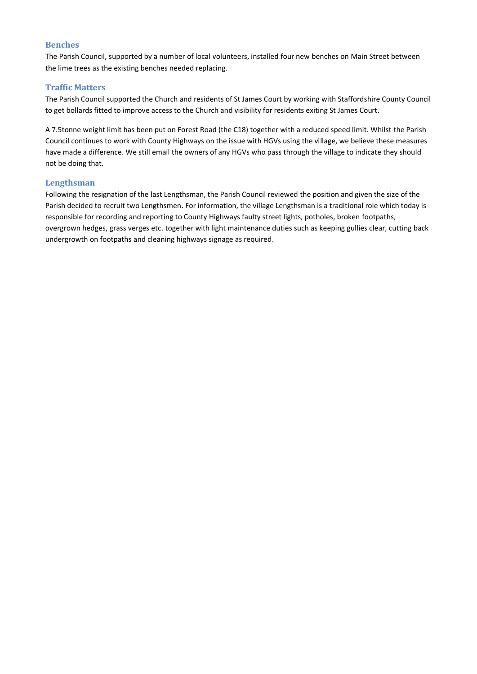#### **Benches**

The Parish Council, supported by a number of local volunteers, installed four new benches on Main Street between the lime trees as the existing benches needed replacing.

#### **Traffic Matters**

The Parish Council supported the Church and residents of St James Court by working with Staffordshire County Council to get bollards fitted to improve access to the Church and visibility for residents exiting St James Court.

A 7.5tonne weight limit has been put on Forest Road (the C18) together with a reduced speed limit. Whilst the Parish Council continues to work with County Highways on the issue with HGVs using the village, we believe these measures have made a difference. We still email the owners of any HGVs who pass through the village to indicate they should not be doing that.

#### **Lengthsman**

Following the resignation of the last Lengthsman, the Parish Council reviewed the position and given the size of the Parish decided to recruit two Lengthsmen. For information, the village Lengthsman is a traditional role which today is responsible for recording and reporting to County Highways faulty street lights, potholes, broken footpaths, overgrown hedges, grass verges etc. together with light maintenance duties such as keeping gullies clear, cutting back undergrowth on footpaths and cleaning highways signage as required.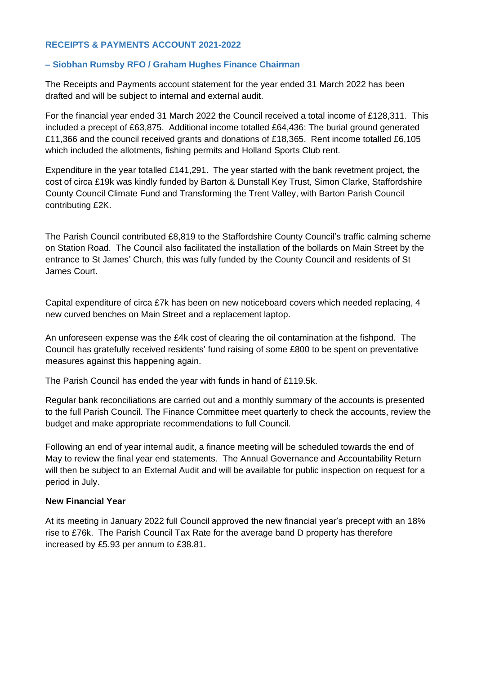## **RECEIPTS & PAYMENTS ACCOUNT 2021-2022**

## **– Siobhan Rumsby RFO / Graham Hughes Finance Chairman**

The Receipts and Payments account statement for the year ended 31 March 2022 has been drafted and will be subject to internal and external audit.

For the financial year ended 31 March 2022 the Council received a total income of £128,311. This included a precept of £63,875. Additional income totalled £64,436: The burial ground generated £11,366 and the council received grants and donations of £18,365. Rent income totalled £6,105 which included the allotments, fishing permits and Holland Sports Club rent.

Expenditure in the year totalled £141,291. The year started with the bank revetment project, the cost of circa £19k was kindly funded by Barton & Dunstall Key Trust, Simon Clarke, Staffordshire County Council Climate Fund and Transforming the Trent Valley, with Barton Parish Council contributing £2K.

The Parish Council contributed £8,819 to the Staffordshire County Council's traffic calming scheme on Station Road. The Council also facilitated the installation of the bollards on Main Street by the entrance to St James' Church, this was fully funded by the County Council and residents of St James Court.

Capital expenditure of circa £7k has been on new noticeboard covers which needed replacing, 4 new curved benches on Main Street and a replacement laptop.

An unforeseen expense was the £4k cost of clearing the oil contamination at the fishpond. The Council has gratefully received residents' fund raising of some £800 to be spent on preventative measures against this happening again.

The Parish Council has ended the year with funds in hand of £119.5k.

Regular bank reconciliations are carried out and a monthly summary of the accounts is presented to the full Parish Council. The Finance Committee meet quarterly to check the accounts, review the budget and make appropriate recommendations to full Council.

Following an end of year internal audit, a finance meeting will be scheduled towards the end of May to review the final year end statements. The Annual Governance and Accountability Return will then be subject to an External Audit and will be available for public inspection on request for a period in July.

## **New Financial Year**

At its meeting in January 2022 full Council approved the new financial year's precept with an 18% rise to £76k. The Parish Council Tax Rate for the average band D property has therefore increased by £5.93 per annum to £38.81.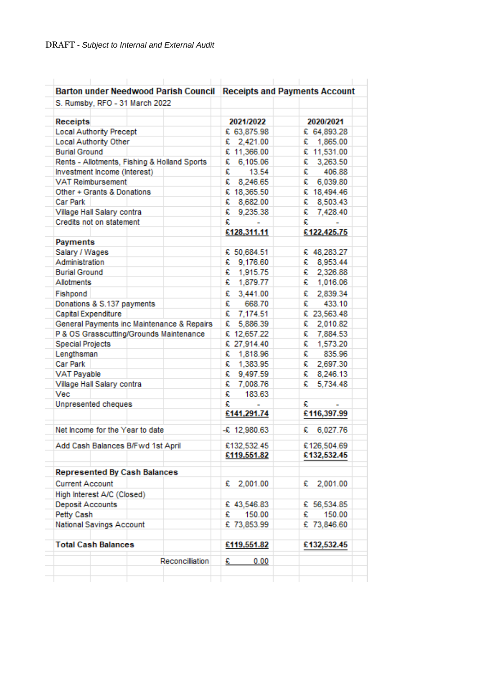| <b>Barton under Needwood Parish Council</b>  | <b>Receipts and Payments Account</b> |               |
|----------------------------------------------|--------------------------------------|---------------|
| S. Rumsby, RFO - 31 March 2022               |                                      |               |
| Receipts                                     | 2021/2022                            | 2020/2021     |
| <b>Local Authority Precept</b>               | € 63,875.98                          | € 64,893.28   |
| Local Authority Other                        | £ 2,421.00                           | 1,865.00<br>£ |
| <b>Burial Ground</b>                         | € 11,366.00                          | € 11,531.00   |
| Rents - Allotments, Fishing & Holland Sports | 6,105.06<br>£                        | £<br>3,263.50 |
| Investment Income (Interest)                 | £<br>13.54                           | £<br>406.88   |
| <b>VAT Reimbursement</b>                     | £<br>8,246.65                        | £<br>6,039.80 |
| Other + Grants & Donations                   | € 18,365.50                          | € 18,494.46   |
| Car Park                                     | € 8,682.00                           | € 8,503.43    |
| Village Hall Salary contra                   | 9,235.38<br>£                        | € 7,428.40    |
| Credits not on statement                     | £                                    | £             |
|                                              | £128,311.11                          | €122,425.75   |
| <b>Payments</b>                              |                                      |               |
| Salary / Wages                               | € 50,684.51                          | € 48,283.27   |
| Administration                               | 9,176.60<br>£                        | 8,953.44<br>£ |
| <b>Burial Ground</b>                         | € 1,915.75                           | € 2,326.88    |
| <b>Allotments</b>                            | £ 1,879.77                           | £<br>1,016.06 |
| Fishpond                                     | 3,441.00<br>£                        | £<br>2,839.34 |
| Donations & S.137 payments                   | £<br>668.70                          | £<br>433.10   |
| Capital Expenditure                          | £ 7,174.51                           | € 23,563.48   |
| General Payments inc Maintenance & Repairs   | € 5,886.39                           | 2,010.82<br>£ |
| P & OS Grasscutting/Grounds Maintenance      | £ 12,657.22                          | £<br>7,884.53 |
| <b>Special Projects</b>                      | £ 27,914.40                          | £<br>1,573.20 |
| Lengthsman                                   | 1,818.96<br>£                        | £<br>835.96   |
| <b>Car Park</b>                              | £ 1,383.95                           | £<br>2,697.30 |
| <b>VAT Payable</b>                           | € 9,497.59                           | £<br>8,246.13 |
| Village Hall Salary contra                   | 7,008.76<br>£                        | £             |
| Vec                                          | 183.63<br>£                          | 5,734.48      |
| Unpresented cheques                          | £                                    | £             |
|                                              | £141,291.74                          | £116,397.99   |
|                                              |                                      |               |
| Net Income for the Year to date              | $-$ £ 12,980.63                      | 6,027.76<br>£ |
| Add Cash Balances B/Fwd 1st April            | £132,532.45                          | €126,504.69   |
|                                              | £119,551.82                          | £132,532.45   |
|                                              |                                      |               |
| <b>Represented By Cash Balances</b>          |                                      |               |
| <b>Current Account</b>                       | £ 2,001.00                           | 2,001.00<br>£ |
| High Interest A/C (Closed)                   |                                      |               |
| Deposit Accounts                             | € 43,546.83                          | € 56,534.85   |
| Petty Cash                                   | 150.00<br>£                          | 150.00<br>£   |
| National Savings Account                     | € 73,853.99                          | € 73,846.60   |
| <b>Total Cash Balances</b>                   | £119,551.82                          | €132,532.45   |
|                                              |                                      |               |
| Reconcilliation                              | 0.00<br>£                            |               |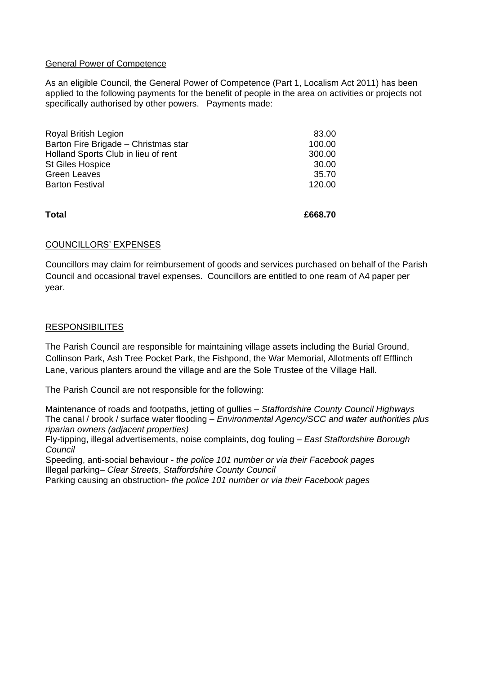## General Power of Competence

As an eligible Council, the General Power of Competence (Part 1, Localism Act 2011) has been applied to the following payments for the benefit of people in the area on activities or projects not specifically authorised by other powers. Payments made:

| <b>Total</b>                         | £668.70 |
|--------------------------------------|---------|
| <b>Barton Festival</b>               | 120.00  |
| <b>Green Leaves</b>                  | 35.70   |
| <b>St Giles Hospice</b>              | 30.00   |
| Holland Sports Club in lieu of rent  | 300.00  |
| Barton Fire Brigade - Christmas star | 100.00  |
| <b>Royal British Legion</b>          | 83.00   |
|                                      |         |

#### COUNCILLORS' EXPENSES

Councillors may claim for reimbursement of goods and services purchased on behalf of the Parish Council and occasional travel expenses. Councillors are entitled to one ream of A4 paper per year.

#### **RESPONSIBILITES**

The Parish Council are responsible for maintaining village assets including the Burial Ground, Collinson Park, Ash Tree Pocket Park, the Fishpond, the War Memorial, Allotments off Efflinch Lane, various planters around the village and are the Sole Trustee of the Village Hall.

The Parish Council are not responsible for the following:

Maintenance of roads and footpaths, jetting of gullies – *Staffordshire County Council Highways* The canal / brook / surface water flooding *– Environmental Agency/SCC and water authorities plus riparian owners (adjacent properties)*

Fly-tipping, illegal advertisements, noise complaints, dog fouling – *East Staffordshire Borough Council*

Speeding, anti-social behaviour - *the police 101 number or via their Facebook pages* Illegal parking– *Clear Streets*, *Staffordshire County Council*

Parking causing an obstruction- *the police 101 number or via their Facebook pages*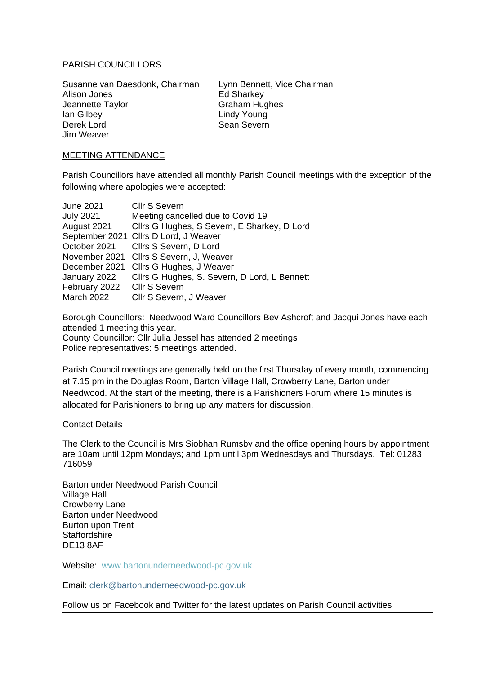## PARISH COUNCILLORS

Susanne van Daesdonk, Chairman Lynn Bennett, Vice Chairman Alison Jones Ed Sharkey Jeannette Taylor Graham Hughes Ian Gilbey Lindy Young Derek Lord Sean Severn Jim Weaver

#### MEETING ATTENDANCE

Parish Councillors have attended all monthly Parish Council meetings with the exception of the following where apologies were accepted:

| <b>June 2021</b> | <b>Cllr S Severn</b>                         |
|------------------|----------------------------------------------|
| <b>July 2021</b> | Meeting cancelled due to Covid 19            |
| August 2021      | Cllrs G Hughes, S Severn, E Sharkey, D Lord  |
|                  | September 2021 Cllrs D Lord, J Weaver        |
| October 2021     | Cllrs S Severn, D Lord                       |
| November 2021    | Cllrs S Severn, J, Weaver                    |
| December 2021    | Cllrs G Hughes, J Weaver                     |
| January 2022     | Cllrs G Hughes, S. Severn, D Lord, L Bennett |
| February 2022    | <b>Cllr S Severn</b>                         |
| March 2022       | Cllr S Severn, J Weaver                      |

Borough Councillors: Needwood Ward Councillors Bev Ashcroft and Jacqui Jones have each attended 1 meeting this year.

County Councillor: Cllr Julia Jessel has attended 2 meetings Police representatives: 5 meetings attended.

Parish Council meetings are generally held on the first Thursday of every month, commencing at 7.15 pm in the Douglas Room, Barton Village Hall, Crowberry Lane, Barton under Needwood. At the start of the meeting, there is a Parishioners Forum where 15 minutes is allocated for Parishioners to bring up any matters for discussion.

#### Contact Details

The Clerk to the Council is Mrs Siobhan Rumsby and the office opening hours by appointment are 10am until 12pm Mondays; and 1pm until 3pm Wednesdays and Thursdays. Tel: 01283 716059

Barton under Needwood Parish Council Village Hall Crowberry Lane Barton under Needwood Burton upon Trent **Staffordshire** DE13 8AF

Website: [www.bartonunderneedwood-pc.gov.uk](http://www.bartonunderneedwood-pc.gov.uk/)

Email: clerk@bartonunderneedwood-pc.gov.uk

Follow us on Facebook and Twitter for the latest updates on Parish Council activities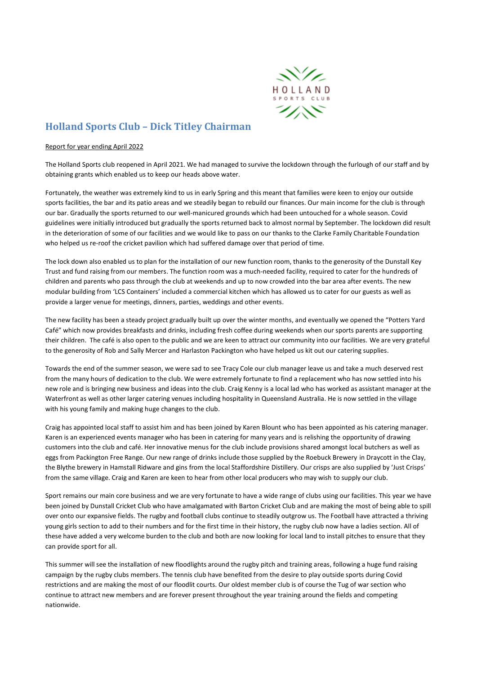

# **Holland Sports Club – Dick Titley Chairman**

#### Report for year ending April 2022

The Holland Sports club reopened in April 2021. We had managed to survive the lockdown through the furlough of our staff and by obtaining grants which enabled us to keep our heads above water.

Fortunately, the weather was extremely kind to us in early Spring and this meant that families were keen to enjoy our outside sports facilities, the bar and its patio areas and we steadily began to rebuild our finances. Our main income for the club is through our bar. Gradually the sports returned to our well-manicured grounds which had been untouched for a whole season. Covid guidelines were initially introduced but gradually the sports returned back to almost normal by September. The lockdown did result in the deterioration of some of our facilities and we would like to pass on our thanks to the Clarke Family Charitable Foundation who helped us re-roof the cricket pavilion which had suffered damage over that period of time.

The lock down also enabled us to plan for the installation of our new function room, thanks to the generosity of the Dunstall Key Trust and fund raising from our members. The function room was a much-needed facility, required to cater for the hundreds of children and parents who pass through the club at weekends and up to now crowded into the bar area after events. The new modular building from 'LCS Containers' included a commercial kitchen which has allowed us to cater for our guests as well as provide a larger venue for meetings, dinners, parties, weddings and other events.

The new facility has been a steady project gradually built up over the winter months, and eventually we opened the "Potters Yard Café" which now provides breakfasts and drinks, including fresh coffee during weekends when our sports parents are supporting their children. The café is also open to the public and we are keen to attract our community into our facilities. We are very grateful to the generosity of Rob and Sally Mercer and Harlaston Packington who have helped us kit out our catering supplies.

Towards the end of the summer season, we were sad to see Tracy Cole our club manager leave us and take a much deserved rest from the many hours of dedication to the club. We were extremely fortunate to find a replacement who has now settled into his new role and is bringing new business and ideas into the club. Craig Kenny is a local lad who has worked as assistant manager at the Waterfront as well as other larger catering venues including hospitality in Queensland Australia. He is now settled in the village with his young family and making huge changes to the club.

Craig has appointed local staff to assist him and has been joined by Karen Blount who has been appointed as his catering manager. Karen is an experienced events manager who has been in catering for many years and is relishing the opportunity of drawing customers into the club and café. Her innovative menus for the club include provisions shared amongst local butchers as well as eggs from Packington Free Range. Our new range of drinks include those supplied by the Roebuck Brewery in Draycott in the Clay, the Blythe brewery in Hamstall Ridware and gins from the local Staffordshire Distillery. Our crisps are also supplied by 'Just Crisps' from the same village. Craig and Karen are keen to hear from other local producers who may wish to supply our club.

Sport remains our main core business and we are very fortunate to have a wide range of clubs using our facilities. This year we have been joined by Dunstall Cricket Club who have amalgamated with Barton Cricket Club and are making the most of being able to spill over onto our expansive fields. The rugby and football clubs continue to steadily outgrow us. The Football have attracted a thriving young girls section to add to their numbers and for the first time in their history, the rugby club now have a ladies section. All of these have added a very welcome burden to the club and both are now looking for local land to install pitches to ensure that they can provide sport for all.

This summer will see the installation of new floodlights around the rugby pitch and training areas, following a huge fund raising campaign by the rugby clubs members. The tennis club have benefited from the desire to play outside sports during Covid restrictions and are making the most of our floodlit courts. Our oldest member club is of course the Tug of war section who continue to attract new members and are forever present throughout the year training around the fields and competing nationwide.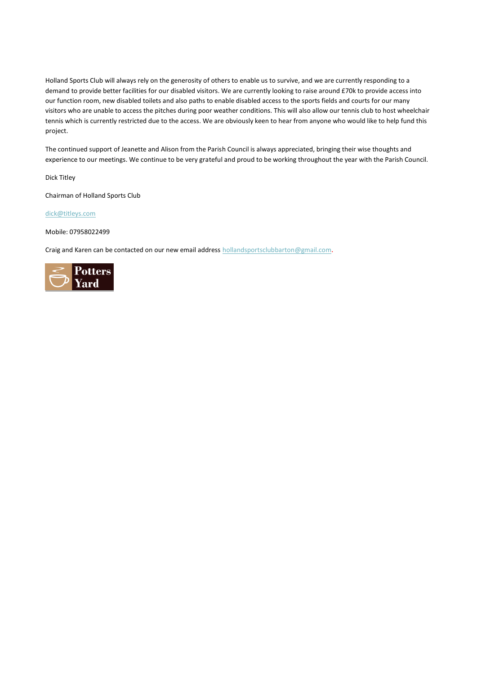Holland Sports Club will always rely on the generosity of others to enable us to survive, and we are currently responding to a demand to provide better facilities for our disabled visitors. We are currently looking to raise around £70k to provide access into our function room, new disabled toilets and also paths to enable disabled access to the sports fields and courts for our many visitors who are unable to access the pitches during poor weather conditions. This will also allow our tennis club to host wheelchair tennis which is currently restricted due to the access. We are obviously keen to hear from anyone who would like to help fund this project.

The continued support of Jeanette and Alison from the Parish Council is always appreciated, bringing their wise thoughts and experience to our meetings. We continue to be very grateful and proud to be working throughout the year with the Parish Council.

Dick Titley

Chairman of Holland Sports Club

[dick@titleys.com](mailto:dick@titleys.com)

Mobile: 07958022499

Craig and Karen can be contacted on our new email addres[s hollandsportsclubbarton@gmail.com](mailto:hollandsportsclubbarton@gmail.com).

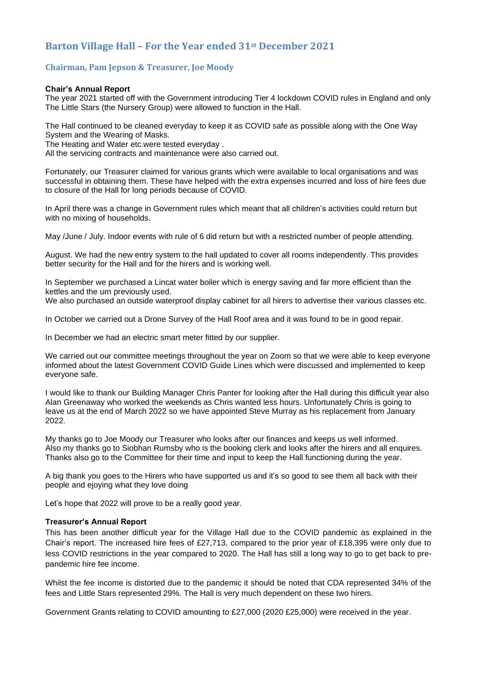# **Barton Village Hall – For the Year ended 31st December 2021**

#### **Chairman, Pam Jepson & Treasurer, Joe Moody**

#### **Chair's Annual Report**

The year 2021 started off with the Government introducing Tier 4 lockdown COVID rules in England and only The Little Stars (the Nursery Group) were allowed to function in the Hall.

The Hall continued to be cleaned everyday to keep it as COVID safe as possible along with the One Way System and the Wearing of Masks.

The Heating and Water etc.were tested everyday .

All the servicing contracts and maintenance were also carried out.

Fortunately, our Treasurer claimed for various grants which were available to local organisations and was successful in obtaining them. These have helped with the extra expenses incurred and loss of hire fees due to closure of the Hall for long periods because of COVID.

In April there was a change in Government rules which meant that all children's activities could return but with no mixing of households.

May /June / July. Indoor events with rule of 6 did return but with a restricted number of people attending.

August. We had the new entry system to the hall updated to cover all rooms independently. This provides better security for the Hall and for the hirers and is working well.

In September we purchased a Lincat water boiler which is energy saving and far more efficient than the kettles and the urn previously used.

We also purchased an outside waterproof display cabinet for all hirers to advertise their various classes etc.

In October we carried out a Drone Survey of the Hall Roof area and it was found to be in good repair.

In December we had an electric smart meter fitted by our supplier.

We carried out our committee meetings throughout the year on Zoom so that we were able to keep everyone informed about the latest Government COVID Guide Lines which were discussed and implemented to keep everyone safe.

I would like to thank our Building Manager Chris Panter for looking after the Hall during this difficult year also Alan Greenaway who worked the weekends as Chris wanted less hours. Unfortunately Chris is going to leave us at the end of March 2022 so we have appointed Steve Murray as his replacement from January 2022.

My thanks go to Joe Moody our Treasurer who looks after our finances and keeps us well informed. Also my thanks go to Siobhan Rumsby who is the booking clerk and looks after the hirers and all enquires. Thanks also go to the Committee for their time and input to keep the Hall functioning during the year.

A big thank you goes to the Hirers who have supported us and it's so good to see them all back with their people and ejoying what they love doing

Let's hope that 2022 will prove to be a really good year.

#### **Treasurer's Annual Report**

This has been another difficult year for the Village Hall due to the COVID pandemic as explained in the Chair's report. The increased hire fees of £27,713, compared to the prior year of £18,395 were only due to less COVID restrictions in the year compared to 2020. The Hall has still a long way to go to get back to prepandemic hire fee income.

Whilst the fee income is distorted due to the pandemic it should be noted that CDA represented 34% of the fees and Little Stars represented 29%. The Hall is very much dependent on these two hirers.

Government Grants relating to COVID amounting to £27,000 (2020 £25,000) were received in the year.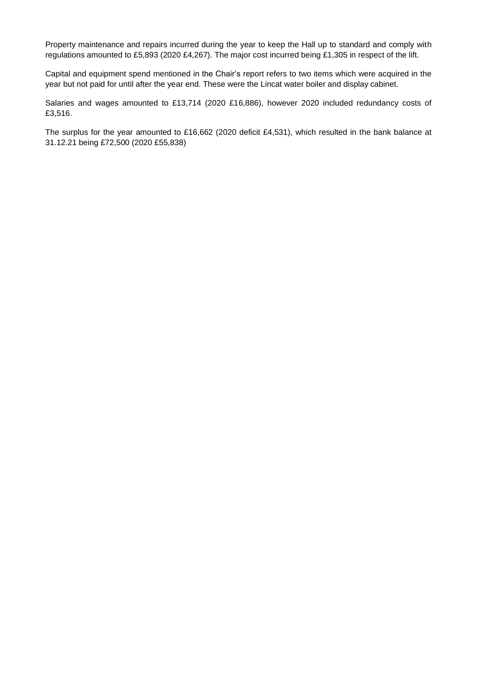Property maintenance and repairs incurred during the year to keep the Hall up to standard and comply with regulations amounted to £5,893 (2020 £4,267). The major cost incurred being £1,305 in respect of the lift.

Capital and equipment spend mentioned in the Chair's report refers to two items which were acquired in the year but not paid for until after the year end. These were the Lincat water boiler and display cabinet.

Salaries and wages amounted to £13,714 (2020 £16,886), however 2020 included redundancy costs of £3,516.

The surplus for the year amounted to £16,662 (2020 deficit £4,531), which resulted in the bank balance at 31.12.21 being £72,500 (2020 £55,838)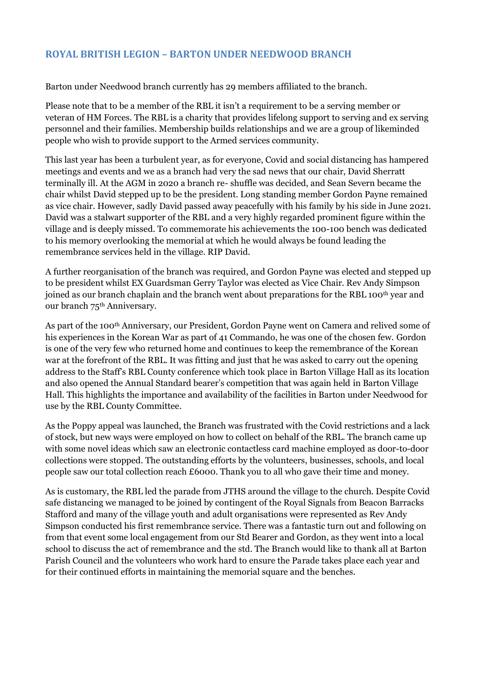# **ROYAL BRITISH LEGION – BARTON UNDER NEEDWOOD BRANCH**

Barton under Needwood branch currently has 29 members affiliated to the branch.

Please note that to be a member of the RBL it isn't a requirement to be a serving member or veteran of HM Forces. The RBL is a charity that provides lifelong support to serving and ex serving personnel and their families. Membership builds relationships and we are a group of likeminded people who wish to provide support to the Armed services community.

This last year has been a turbulent year, as for everyone, Covid and social distancing has hampered meetings and events and we as a branch had very the sad news that our chair, David Sherratt terminally ill. At the AGM in 2020 a branch re- shuffle was decided, and Sean Severn became the chair whilst David stepped up to be the president. Long standing member Gordon Payne remained as vice chair. However, sadly David passed away peacefully with his family by his side in June 2021. David was a stalwart supporter of the RBL and a very highly regarded prominent figure within the village and is deeply missed. To commemorate his achievements the 100-100 bench was dedicated to his memory overlooking the memorial at which he would always be found leading the remembrance services held in the village. RIP David.

A further reorganisation of the branch was required, and Gordon Payne was elected and stepped up to be president whilst EX Guardsman Gerry Taylor was elected as Vice Chair. Rev Andy Simpson joined as our branch chaplain and the branch went about preparations for the RBL 100<sup>th</sup> year and our branch 75<sup>th</sup> Anniversary.

As part of the 100th Anniversary, our President, Gordon Payne went on Camera and relived some of his experiences in the Korean War as part of 41 Commando, he was one of the chosen few. Gordon is one of the very few who returned home and continues to keep the remembrance of the Korean war at the forefront of the RBL. It was fitting and just that he was asked to carry out the opening address to the Staff's RBL County conference which took place in Barton Village Hall as its location and also opened the Annual Standard bearer's competition that was again held in Barton Village Hall. This highlights the importance and availability of the facilities in Barton under Needwood for use by the RBL County Committee.

As the Poppy appeal was launched, the Branch was frustrated with the Covid restrictions and a lack of stock, but new ways were employed on how to collect on behalf of the RBL. The branch came up with some novel ideas which saw an electronic contactless card machine employed as door-to-door collections were stopped. The outstanding efforts by the volunteers, businesses, schools, and local people saw our total collection reach £6000. Thank you to all who gave their time and money.

As is customary, the RBL led the parade from JTHS around the village to the church. Despite Covid safe distancing we managed to be joined by contingent of the Royal Signals from Beacon Barracks Stafford and many of the village youth and adult organisations were represented as Rev Andy Simpson conducted his first remembrance service. There was a fantastic turn out and following on from that event some local engagement from our Std Bearer and Gordon, as they went into a local school to discuss the act of remembrance and the std. The Branch would like to thank all at Barton Parish Council and the volunteers who work hard to ensure the Parade takes place each year and for their continued efforts in maintaining the memorial square and the benches.